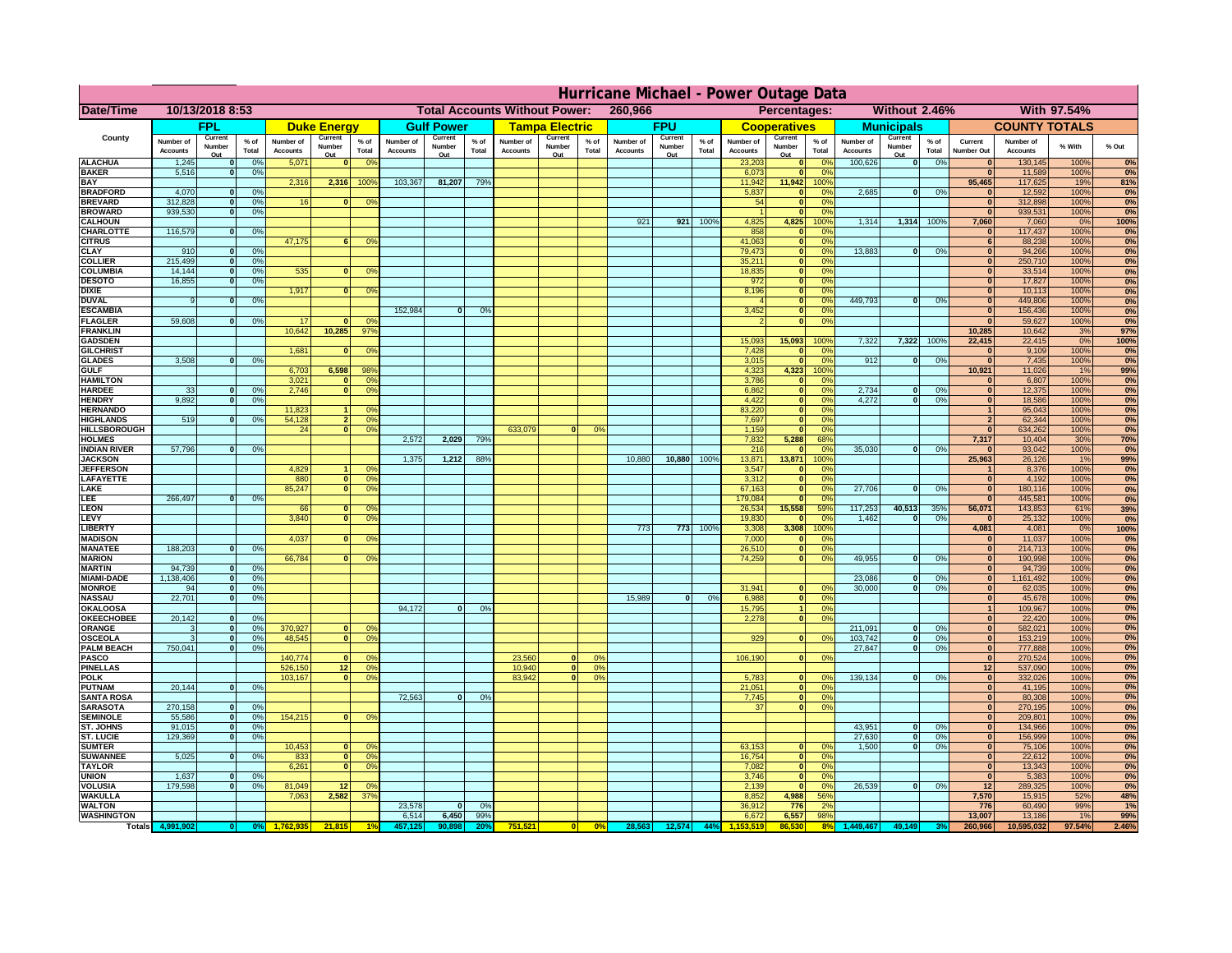|                                     | Hurricane Michael - Power Outage Data |                          |                                  |                              |                                                 |                                              |                              |                   |                 |                                                     |                                     |                 |                              |                   |                 |                              |                        |                       |                              |                        |                 |                              |                              |              |            |
|-------------------------------------|---------------------------------------|--------------------------|----------------------------------|------------------------------|-------------------------------------------------|----------------------------------------------|------------------------------|-------------------|-----------------|-----------------------------------------------------|-------------------------------------|-----------------|------------------------------|-------------------|-----------------|------------------------------|------------------------|-----------------------|------------------------------|------------------------|-----------------|------------------------------|------------------------------|--------------|------------|
| <b>Date/Time</b>                    | 10/13/2018 8:53                       |                          |                                  |                              | <b>Total Accounts Without Power:</b><br>260,966 |                                              |                              |                   |                 | <b>Without 2.46%</b><br>With 97.54%<br>Percentages: |                                     |                 |                              |                   |                 |                              |                        |                       |                              |                        |                 |                              |                              |              |            |
|                                     |                                       | <b>FPL</b>               |                                  |                              | <b>Duke Energy</b>                              |                                              |                              | <b>Gulf Power</b> |                 |                                                     | <b>Tampa Electric</b>               |                 |                              | <b>FPU</b>        |                 |                              | <b>Cooperatives</b>    |                       |                              | <b>Municipals</b>      |                 |                              | <b>COUNTY TOTALS</b>         |              |            |
| County                              | Number of<br><b>Accounts</b>          | Current<br>Number        | % of<br>Total                    | Number of<br><b>Accounts</b> | Current<br>Number                               | $%$ of<br>Total                              | Number of<br><b>Accounts</b> | Current<br>Number | $%$ of<br>Total | Number of<br><b>Accounts</b>                        | Current<br>Number                   | $%$ of<br>Total | Number of<br><b>Accounts</b> | Current<br>Number | $%$ of<br>Total | Number of<br><b>Accounts</b> | Current<br>Number      | $%$ of<br>Total       | Number of<br><b>Accounts</b> | Current<br>Number      | $%$ of<br>Total | Current<br><b>Number Out</b> | Number of<br><b>Accounts</b> | % With       | % Out      |
| <b>ALACHUA</b>                      | 1,245                                 | Out                      | 0 <sup>9</sup>                   | 5,071                        | Out                                             | 0 <sup>9</sup><br>$\mathbf{0}$               |                              | Out               |                 |                                                     | Out                                 |                 |                              | Out               |                 | 23,203                       | Out<br>$\mathbf{0}$    | 0 <sup>9</sup>        | 100,626                      | Out<br> 0              | 0%              | $\bf{0}$                     | 130,145                      | 100%         | 0%         |
| <b>BAKER</b>                        | 5,516                                 |                          | 0%                               |                              |                                                 |                                              |                              |                   |                 |                                                     |                                     |                 |                              |                   |                 | 6,073                        | ō                      | 0%                    |                              |                        |                 | $\mathbf{0}$                 | 11,589                       | 100%         | 0%         |
| <b>BAY</b><br><b>BRADFORD</b>       | 4,070                                 |                          | 0 <sup>9</sup>                   | 2,316                        | 2,316                                           | 100%                                         | 103,367                      | 81,207            | 79%             |                                                     |                                     |                 |                              |                   |                 | 11,942<br>5,837              | 11,942<br>$\mathbf{0}$ | 100%<br>0%            | 2,685                        | 0                      | 0%              | 95,465<br>$\bf{0}$           | 117,625<br>12,592            | 19%<br>100%  | 81%<br>0%  |
| <b>BREVARD</b>                      | 312,828                               |                          | 0 <sup>9</sup>                   | 16                           |                                                 | 0 <sup>9</sup><br>$\mathbf{0}$               |                              |                   |                 |                                                     |                                     |                 |                              |                   |                 | 54                           | $\mathbf{0}$           | 0%                    |                              |                        |                 | $\mathbf{0}$                 | 312,898                      | 100%         | 0%         |
| <b>BROWARD</b>                      | 939.530                               |                          | 0 <sup>9</sup>                   |                              |                                                 |                                              |                              |                   |                 |                                                     |                                     |                 |                              |                   |                 |                              | $\mathbf{0}$           | 0%                    |                              |                        |                 | $\bf{0}$                     | 939,531                      | 100%         | 0%         |
| <b>CALHOUN</b><br>CHARLOTTE         | 116,579                               |                          | 0 <sup>9</sup>                   |                              |                                                 |                                              |                              |                   |                 |                                                     |                                     |                 | 921                          | 921               | 100%            | 4,825<br>858                 | 4,825<br>$\mathbf 0$   | 100%<br>0%            | 1,314                        | 1,314 100%             |                 | 7,060<br>$\bf{0}$            | 7,060<br>117,437             | 0%<br>100%   | 100%<br>0% |
| <b>CITRUS</b>                       |                                       |                          |                                  | 47,175                       |                                                 | 0 <sup>9</sup><br>6                          |                              |                   |                 |                                                     |                                     |                 |                              |                   |                 | 41,063                       | $\mathbf{0}$           | 0 <sup>9</sup>        |                              |                        |                 | 6                            | 88,238                       | 100%         | 0%         |
| <b>CLAY</b>                         | 910                                   |                          | 0 <sup>9</sup>                   |                              |                                                 |                                              |                              |                   |                 |                                                     |                                     |                 |                              |                   |                 | 79,473                       | $\bullet$              | 0 <sup>9</sup>        | 13,883                       | $\mathbf{0}$           | 0%              | $\bf{0}$                     | 94,266                       | 100%         | 0%         |
| <b>COLLIER</b>                      | 215,499                               |                          | 0 <sup>9</sup>                   |                              |                                                 |                                              |                              |                   |                 |                                                     |                                     |                 |                              |                   |                 | 35,211                       | $\mathbf{0}$           | 0%                    |                              |                        |                 | $\bf{0}$                     | 250,710                      | 100%         | 0%         |
| <b>COLUMBIA</b><br><b>DESOTO</b>    | 14,144<br>16,855                      |                          | 0 <sup>9</sup><br>0 <sup>9</sup> | 535                          |                                                 | 0 <sup>9</sup><br>$\bf{0}$                   |                              |                   |                 |                                                     |                                     |                 |                              |                   |                 | 18,835<br>972                | ō<br>ō                 | 0%<br>0%              |                              |                        |                 | $\bf{0}$<br>$\bf{0}$         | 33,514<br>17,827             | 100%<br>100% | 0%<br>0%   |
| <b>DIXIE</b>                        |                                       |                          |                                  | 1,917                        |                                                 | $\mathbf{0}$<br>0°                           |                              |                   |                 |                                                     |                                     |                 |                              |                   |                 | 8,196                        | $\mathbf{0}$           | nº                    |                              |                        |                 | $\bf{0}$                     | 10,113                       | 100%         | 0%         |
| <b>DUVAL</b>                        |                                       |                          | 0%                               |                              |                                                 |                                              |                              |                   |                 |                                                     |                                     |                 |                              |                   |                 |                              | $\mathbf{0}$           | 0%                    | 449.793                      | ol                     | 0%              | $\Omega$                     | 449,806                      | 100%         | 0%         |
| <b>ESCAMBIA</b>                     | 59,608                                |                          |                                  | 17                           |                                                 | 0 <sup>9</sup><br>n                          | 152,984                      | $\bf{0}$          | 0 <sup>9</sup>  |                                                     |                                     |                 |                              |                   |                 | 3,452                        | $\mathbf{0}$           | 0%<br>0%              |                              |                        |                 | $\mathbf{0}$<br>$\mathbf{r}$ | 156,436                      | 100%         | 0%         |
| <b>FLAGLER</b><br><b>FRANKLIN</b>   |                                       |                          | 0%                               | 10,642                       | 10,285                                          | $97^{\circ}$                                 |                              |                   |                 |                                                     |                                     |                 |                              |                   |                 |                              | $\bullet$              |                       |                              |                        |                 | 10,285                       | 59,627<br>10,642             | 100%<br>3%   | 0%<br>97%  |
| <b>GADSDEN</b>                      |                                       |                          |                                  |                              |                                                 |                                              |                              |                   |                 |                                                     |                                     |                 |                              |                   |                 | 15,093                       | 15,093                 | 100%                  | 7,322                        | 7,322                  | 100%            | 22,415                       | 22,415                       | 0%           | 100%       |
| <b>GILCHRIST</b>                    |                                       |                          |                                  | 1,681                        |                                                 | 0 <sup>9</sup><br>$\bf{0}$                   |                              |                   |                 |                                                     |                                     |                 |                              |                   |                 | 7,428                        | $\mathbf{0}$           | 0%                    |                              |                        |                 | 0                            | 9,109                        | 100%         | 0%         |
| <b>GLADES</b><br><b>GULF</b>        | 3,508                                 |                          | 0 <sup>9</sup>                   | 6,703                        | 6,598                                           | 98%                                          |                              |                   |                 |                                                     |                                     |                 |                              |                   |                 | 3,015                        | $\bullet$<br>4,323     | 0%<br>100%            | 912                          | 0                      | 0%              | 0 <br>10,921                 | 7,435                        | 100%<br>1%   | 0%         |
| <b>HAMILTON</b>                     |                                       |                          |                                  | 3,021                        |                                                 | 0 <sup>9</sup><br>n l                        |                              |                   |                 |                                                     |                                     |                 |                              |                   |                 | 4,323<br>3,786               | $\mathbf{0}$           | 0%                    |                              |                        |                 | $\Omega$                     | 11,026<br>6,807              | 100%         | 99%<br>0%  |
| <b>HARDEE</b>                       | 33                                    |                          | 0%                               | 2.746                        |                                                 | n l<br>0 <sup>9</sup>                        |                              |                   |                 |                                                     |                                     |                 |                              |                   |                 | 6.862                        | 0                      | 0%                    | 2.734                        | $\bf{0}$               | 0%              | 0                            | 12,375                       | 100%         | 0%         |
| <b>HENDRY</b>                       | 9.892                                 |                          | 0%                               |                              |                                                 |                                              |                              |                   |                 |                                                     |                                     |                 |                              |                   |                 | 4.422                        | 0                      | 0%                    | 4.272                        | $\mathbf{0}$           | 0%              | 0                            | 18.586                       | 100%         | 0%         |
| <b>HERNANDO</b><br><b>HIGHLANDS</b> | 519                                   |                          | 0 <sup>9</sup>                   | 11,823<br>54,128             |                                                 | $\Omega$<br>2 <sup>1</sup><br>0%             |                              |                   |                 |                                                     |                                     |                 |                              |                   |                 | 83,220<br>7,697              | 0 <br>ō                | 0%<br>0%              |                              |                        |                 | 1<br>$\overline{2}$          | 95,043<br>62,344             | 100%<br>100% | 0%<br>0%   |
| <b>HILLSBOROUGH</b>                 |                                       |                          |                                  | 24                           |                                                 | $\overline{0}$<br>0%                         |                              |                   |                 | 633,079                                             |                                     | 0 <sup>9</sup>  |                              |                   |                 | 1,159                        | $\mathbf{0}$           | 0%                    |                              |                        |                 | $\overline{0}$               | 634,262                      | 100%         | 0%         |
| <b>HOLMES</b>                       |                                       |                          |                                  |                              |                                                 |                                              | 2,572                        | 2,029             | 79%             |                                                     |                                     |                 |                              |                   |                 | 7,832                        | 5,288                  | 68%                   |                              |                        |                 | 7,317                        | 10,404                       | 30%          | 70%        |
| <b>INDIAN RIVER</b>                 | 57,796                                |                          | 0%                               |                              |                                                 |                                              |                              |                   |                 |                                                     |                                     |                 |                              |                   |                 | 216                          | $\mathbf{0}$           | 0 <sup>9</sup>        | 35,030                       | $\mathbf{0}$           | 0%              | $\bf{0}$                     | 93,042                       | 100%         | 0%         |
| <b>JACKSON</b><br><b>JEFFERSON</b>  |                                       |                          |                                  | 4,829                        |                                                 | 11<br>0 <sup>9</sup>                         | 1,375                        | 1,212             | 88%             |                                                     |                                     |                 | 10,880                       | 10,880            | 100%            | 13,871<br>3,547              | 13,871<br>$\mathbf 0$  | 100%<br>0%            |                              |                        |                 | 25,963<br>$\mathbf{1}$       | 26,126<br>8,376              | 1%<br>100%   | 99%<br>0%  |
| LAFAYETTE                           |                                       |                          |                                  | 880                          |                                                 | $\overline{0}$<br>0%                         |                              |                   |                 |                                                     |                                     |                 |                              |                   |                 | 3,312                        | $\mathbf{0}$           | 0%                    |                              |                        |                 | 0                            | 4,192                        | 100%         | 0%         |
| LAKE                                |                                       |                          |                                  | 85,247                       |                                                 | $\overline{0}$<br>0%                         |                              |                   |                 |                                                     |                                     |                 |                              |                   |                 | 67,163                       | $\mathbf{0}$           | 0%                    | 27,706                       | $\Omega$               | 0%              | 0                            | 180,116                      | 100%         | 0%         |
| LEE                                 | 266,497                               |                          | 0%                               |                              |                                                 |                                              |                              |                   |                 |                                                     |                                     |                 |                              |                   |                 | 179,084                      | 0                      | 0%                    |                              |                        |                 | 0                            | 445,581                      | 100%         | 0%         |
| <b>LEON</b><br><b>LEVY</b>          |                                       |                          |                                  | 66<br>3,840                  |                                                 | 0<br>$^{\circ}$<br> 0 <br>0 <sup>9</sup>     |                              |                   |                 |                                                     |                                     |                 |                              |                   |                 | 26,534<br>19,830             | 15,558<br>$\mathbf{0}$ | 59%<br>0%             | 117,253<br>1,462             | 40,513<br>$\mathbf{0}$ | 35%<br>0%       | 56,071<br>$\mathbf{0}$       | 143,853<br>25,132            | 61%<br>100%  | 39%<br>0%  |
| <b>LIBERTY</b>                      |                                       |                          |                                  |                              |                                                 |                                              |                              |                   |                 |                                                     |                                     |                 | 773                          | 773               | 100%            | 3,308                        | 3,308                  | 100%                  |                              |                        |                 | 4,081                        | 4,081                        | 0%           | 100%       |
| <b>MADISON</b>                      |                                       |                          |                                  | 4,037                        |                                                 | 0 <sup>9</sup><br>n                          |                              |                   |                 |                                                     |                                     |                 |                              |                   |                 | 7,000                        | $\mathbf{0}$           | 0 <sup>9</sup>        |                              |                        |                 | 0                            | 11,037                       | 100%         | 0%         |
| <b>MANATEE</b>                      | 188,203                               | n                        | 0%                               |                              |                                                 |                                              |                              |                   |                 |                                                     |                                     |                 |                              |                   |                 | 26,510                       | 0                      | 0%                    |                              |                        |                 | 0                            | 214,713                      | 100%         | 0%         |
| <b>MARION</b><br><b>MARTIN</b>      | 94,739                                | n                        | 0%                               | 66,784                       |                                                 | 0°<br>ΩI                                     |                              |                   |                 |                                                     |                                     |                 |                              |                   |                 | 74,259                       | 0                      | 0%                    | 49,955                       | $\Omega$               | 0%              | 0 <br> 0                     | 190,998<br>94,739            | 100%<br>100% | 0%<br>0%   |
| <b>MIAMI-DADE</b>                   | 1,138,406                             | $\Omega$                 | 0%                               |                              |                                                 |                                              |                              |                   |                 |                                                     |                                     |                 |                              |                   |                 |                              |                        |                       | 23,086                       | $\Omega$               | 0%              | 0                            | 1,161,492                    | 100%         | 0%         |
| <b>MONROE</b>                       | 94                                    | 0                        | 0%                               |                              |                                                 |                                              |                              |                   |                 |                                                     |                                     |                 |                              |                   |                 | 31,941                       | 0                      | 0 <sup>9</sup>        | 30,000                       | $\mathbf{0}$           | 0%              | 0                            | 62,035                       | 100%         | 0%         |
| <b>NASSAU</b>                       | 22,701                                | 0                        | 0%                               |                              |                                                 |                                              |                              |                   |                 |                                                     |                                     |                 | 15,989                       | 0                 | 0%              | 6,988                        |                        | 0 <br>0%              |                              |                        |                 | 0                            | 45,678                       | 100%         | 0%         |
| OKALOOSA<br><b>OKEECHOBEE</b>       | 20,142                                |                          | 0 <sup>9</sup>                   |                              |                                                 |                                              | 94,172                       | $\bf{0}$          | 0%              |                                                     |                                     |                 |                              |                   |                 | 15,795<br>2,278              | $\vert$ 1              | 0%<br>0%<br> 0        |                              |                        |                 | 1<br> 0                      | 109,967<br>22,420            | 100%<br>100% | 0%<br>0%   |
| ORANGE                              |                                       | $\Omega$                 | 0 <sup>9</sup>                   | 370,927                      |                                                 | $\Omega$<br>0 <sup>6</sup>                   |                              |                   |                 |                                                     |                                     |                 |                              |                   |                 |                              |                        |                       | 211,091                      | $\mathbf{0}$           | 0%              | 0                            | 582,021                      | 100%         | 0%         |
| <b>OSCEOLA</b>                      |                                       | $\Omega$                 | 0 <sup>9</sup>                   | 48,545                       |                                                 | 0 <sup>9</sup><br>$\Omega$                   |                              |                   |                 |                                                     |                                     |                 |                              |                   |                 | 929                          |                        | 0 <br>0 <sup>9</sup>  | 103,742                      | 0                      | 0%              | 0                            | 153,219                      | 100%         | 0%         |
| <b>PALM BEACH</b>                   | 750,041                               | $\Omega$                 | 0 <sup>9</sup>                   |                              |                                                 |                                              |                              |                   |                 |                                                     |                                     |                 |                              |                   |                 |                              |                        |                       | 27,847                       | $\overline{0}$         | 0%              | 0                            | 777,888                      | 100%         | 0%         |
| PASCO<br><b>PINELLAS</b>            |                                       |                          |                                  | 140,774<br>526,150           | 12                                              | $\Omega$<br>0 <sup>6</sup><br>0 <sup>9</sup> |                              |                   |                 | 23,560<br>10,940                                    | $\Omega$<br>$\overline{\mathbf{0}}$ | 0%<br>0%        |                              |                   |                 | 106,190                      |                        | 0 <br>0%              |                              |                        |                 | 0 <br>12                     | 270,524<br>537,090           | 100%<br>100% | 0%<br>0%   |
| <b>POLK</b>                         |                                       |                          |                                  | 103,167                      |                                                 | 0 <sup>9</sup><br> 0                         |                              |                   |                 | 83,942                                              | 0                                   | 0%              |                              |                   |                 | 5,783                        | 0                      | nº                    | 139,134                      | 0                      | 0%              | 0                            | 332,026                      | 100%         | 0%         |
| <b>PUTNAM</b>                       | 20,144                                | $\mathbf{0}$             | 0%                               |                              |                                                 |                                              |                              |                   |                 |                                                     |                                     |                 |                              |                   |                 | 21,051                       | 0                      | 0%                    |                              |                        |                 | $\mathbf{0}$                 | 41,195                       | 100%         | 0%         |
| <b>SANTA ROSA</b>                   |                                       |                          |                                  |                              |                                                 |                                              | 72,563                       | 0                 | 0%              |                                                     |                                     |                 |                              |                   |                 | 7,745                        |                        | 0 <br>0%              |                              |                        |                 | 0                            | 80,308                       | 100%         | 0%         |
| <b>SARASOTA</b><br><b>SEMINOLE</b>  | 270,158<br>55,586                     | $\Omega$<br>$\mathbf{0}$ | 0%<br>0 <sup>9</sup>             | 154,215                      |                                                 | $\mathbf{0}$<br>0 <sup>9</sup>               |                              |                   |                 |                                                     |                                     |                 |                              |                   |                 | 37                           |                        | 0 <br>0%              |                              |                        |                 | 0 <br> 0                     | 270,195<br>209,801           | 100%<br>100% | 0%<br>0%   |
| ST. JOHNS                           | 91.015                                | $\Omega$                 | 0%                               |                              |                                                 |                                              |                              |                   |                 |                                                     |                                     |                 |                              |                   |                 |                              |                        |                       | 43,951                       | -ol                    | 0%              | 0                            | 134,966                      | 100%         | 0%         |
| <b>ST. LUCIE</b>                    | 129.369                               | $\Omega$                 | 0%                               |                              |                                                 |                                              |                              |                   |                 |                                                     |                                     |                 |                              |                   |                 |                              |                        |                       | 27.630                       | - O I                  | 0%              | 0                            | 156.999                      | 100%         | 0%         |
| <b>SUMTER</b>                       |                                       |                          |                                  | 10,453                       |                                                 | $\mathbf{0}$<br>$\Omega$                     |                              |                   |                 |                                                     |                                     |                 |                              |                   |                 | 63,153                       | $\mathbf{0}$           | 0%                    | 1.500                        | 0                      | 0%              | 0                            | 75,106                       | 100%         | 0%         |
| <b>SUWANNEE</b><br><b>TAYLOR</b>    | 5,025                                 | $\Omega$                 | 0%                               | 833<br>6,261                 |                                                 | 0 <sup>9</sup><br> 0 <br> 0 <br>0%           |                              |                   |                 |                                                     |                                     |                 |                              |                   |                 | 16,754<br>7,082              | 0 <br> 0               | 0%<br>0%              |                              |                        |                 | $\mathbf{0}$<br>$\bf{0}$     | 22,612<br>13,343             | 100%<br>100% | 0%<br>0%   |
| <b>UNION</b>                        | 1,637                                 |                          | 0 <sup>9</sup>                   |                              |                                                 |                                              |                              |                   |                 |                                                     |                                     |                 |                              |                   |                 | 3,746                        | $\mathbf 0$            | 0%                    |                              |                        |                 | 0                            | 5,383                        | 100%         | 0%         |
| VOLUSIA                             | 179,598                               |                          | 0%                               | 81,049                       | 12                                              | 0 <sup>6</sup>                               |                              |                   |                 |                                                     |                                     |                 |                              |                   |                 | 2,139                        | $\mathbf 0$            | 0%                    | 26,539                       | 0                      | 0%              | 12                           | 289,325                      | 100%         | 0%         |
| <b>WAKULLA</b><br><b>WALTON</b>     |                                       |                          |                                  | 7,063                        | 2,582                                           | 37%                                          | 23,578                       | $\mathbf{0}$      | 0%              |                                                     |                                     |                 |                              |                   |                 | 8,852<br>36,912              | 4,988<br>776           | 56%<br>2 <sup>0</sup> |                              |                        |                 | 7,570<br>776                 | 15,915<br>60,490             | 52%<br>99%   | 48%<br>1%  |
| <b>WASHINGTON</b>                   |                                       |                          |                                  |                              |                                                 |                                              | 6,514                        | 6,450             | 99%             |                                                     |                                     |                 |                              |                   |                 | 6,672                        | 6,557                  | 98%                   |                              |                        |                 | 13,007                       | 13,186                       | 1%           | 99%        |
| Totals 4,9                          |                                       |                          |                                  |                              | 21,815                                          |                                              |                              |                   |                 | 751,521                                             |                                     | 0%              | 28,563                       | 12,574            | 44%             |                              |                        | 8 <sup>0</sup>        |                              |                        |                 | 260,966                      | 10,595,032                   | 97.54%       | 2.46%      |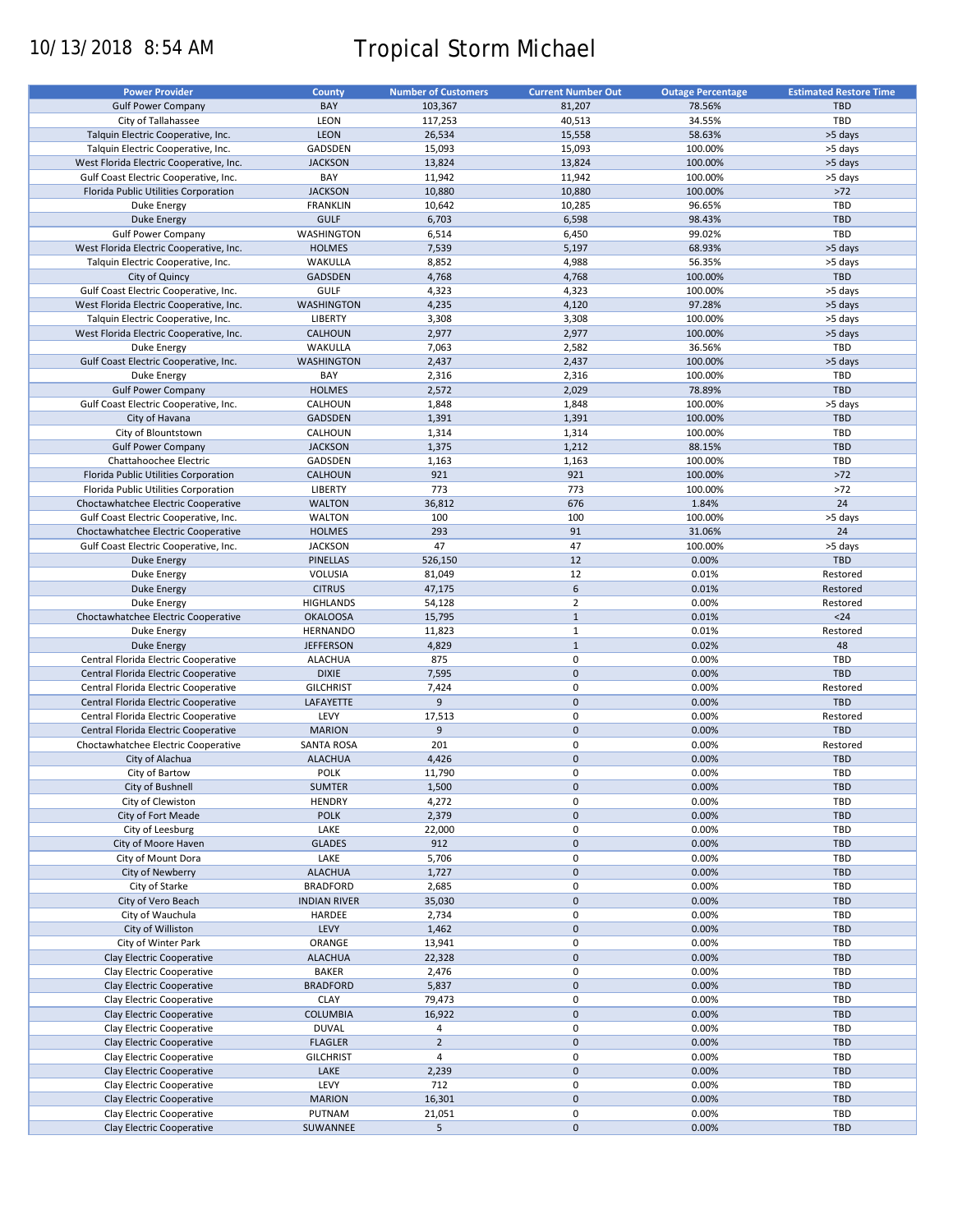# 10/13/2018 8:54 AM Tropical Storm Michael

| <b>Power Provider</b>                   | County              | <b>Number of Customers</b> | <b>Current Number Out</b> | <b>Outage Percentage</b> | <b>Estimated Restore Time</b> |
|-----------------------------------------|---------------------|----------------------------|---------------------------|--------------------------|-------------------------------|
| <b>Gulf Power Company</b>               | BAY                 | 103,367                    | 81,207                    | 78.56%                   | <b>TBD</b>                    |
| City of Tallahassee                     | LEON                | 117,253                    | 40,513                    | 34.55%                   | TBD                           |
| Talquin Electric Cooperative, Inc.      | <b>LEON</b>         | 26,534                     | 15,558                    | 58.63%                   | >5 days                       |
| Talquin Electric Cooperative, Inc.      | GADSDEN             | 15,093                     | 15,093                    | 100.00%                  | >5 days                       |
| West Florida Electric Cooperative, Inc. | <b>JACKSON</b>      | 13,824                     | 13,824                    | 100.00%                  | >5 days                       |
|                                         | BAY                 |                            |                           |                          |                               |
| Gulf Coast Electric Cooperative, Inc.   |                     | 11,942                     | 11,942                    | 100.00%                  | >5 days                       |
| Florida Public Utilities Corporation    | <b>JACKSON</b>      | 10,880                     | 10,880                    | 100.00%                  | $>72$                         |
| Duke Energy                             | <b>FRANKLIN</b>     | 10,642                     | 10,285                    | 96.65%                   | TBD                           |
| <b>Duke Energy</b>                      | <b>GULF</b>         | 6,703                      | 6,598                     | 98.43%                   | <b>TBD</b>                    |
| <b>Gulf Power Company</b>               | WASHINGTON          | 6,514                      | 6,450                     | 99.02%                   | TBD                           |
| West Florida Electric Cooperative, Inc. | <b>HOLMES</b>       | 7,539                      | 5,197                     | 68.93%                   | >5 days                       |
| Talquin Electric Cooperative, Inc.      | WAKULLA             | 8,852                      | 4,988                     | 56.35%                   | >5 days                       |
| City of Quincy                          | <b>GADSDEN</b>      | 4,768                      | 4,768                     | 100.00%                  | <b>TBD</b>                    |
| Gulf Coast Electric Cooperative, Inc.   | GULF                | 4,323                      | 4,323                     | 100.00%                  | >5 days                       |
| West Florida Electric Cooperative, Inc. | <b>WASHINGTON</b>   | 4,235                      | 4,120                     | 97.28%                   | >5 days                       |
| Talquin Electric Cooperative, Inc.      | <b>LIBERTY</b>      | 3,308                      | 3,308                     | 100.00%                  | >5 days                       |
| West Florida Electric Cooperative, Inc. | CALHOUN             | 2,977                      | 2,977                     | 100.00%                  | >5 days                       |
| Duke Energy                             | WAKULLA             | 7,063                      | 2,582                     | 36.56%                   | TBD                           |
| Gulf Coast Electric Cooperative, Inc.   | <b>WASHINGTON</b>   | 2,437                      | 2,437                     | 100.00%                  | >5 days                       |
| Duke Energy                             | BAY                 | 2,316                      | 2,316                     | 100.00%                  | TBD                           |
| <b>Gulf Power Company</b>               | <b>HOLMES</b>       | 2,572                      | 2,029                     | 78.89%                   | <b>TBD</b>                    |
|                                         | CALHOUN             |                            | 1,848                     | 100.00%                  |                               |
| Gulf Coast Electric Cooperative, Inc.   |                     | 1,848                      |                           |                          | >5 days                       |
| City of Havana                          | <b>GADSDEN</b>      | 1,391                      | 1,391                     | 100.00%                  | <b>TBD</b>                    |
| City of Blountstown                     | CALHOUN             | 1,314                      | 1,314                     | 100.00%                  | TBD                           |
| <b>Gulf Power Company</b>               | <b>JACKSON</b>      | 1,375                      | 1,212                     | 88.15%                   | <b>TBD</b>                    |
| Chattahoochee Electric                  | GADSDEN             | 1,163                      | 1,163                     | 100.00%                  | TBD                           |
| Florida Public Utilities Corporation    | <b>CALHOUN</b>      | 921                        | 921                       | 100.00%                  | $>72$                         |
| Florida Public Utilities Corporation    | LIBERTY             | 773                        | 773                       | 100.00%                  | $>72$                         |
| Choctawhatchee Electric Cooperative     | <b>WALTON</b>       | 36,812                     | 676                       | 1.84%                    | 24                            |
| Gulf Coast Electric Cooperative, Inc.   | <b>WALTON</b>       | 100                        | 100                       | 100.00%                  | >5 days                       |
| Choctawhatchee Electric Cooperative     | <b>HOLMES</b>       | 293                        | 91                        | 31.06%                   | 24                            |
| Gulf Coast Electric Cooperative, Inc.   | <b>JACKSON</b>      | 47                         | 47                        | 100.00%                  | >5 days                       |
|                                         |                     |                            | 12                        |                          | <b>TBD</b>                    |
| <b>Duke Energy</b>                      | PINELLAS            | 526,150                    |                           | 0.00%                    |                               |
| Duke Energy                             | VOLUSIA             | 81,049                     | 12                        | 0.01%                    | Restored                      |
| <b>Duke Energy</b>                      | <b>CITRUS</b>       | 47,175                     | 6                         | 0.01%                    | Restored                      |
| Duke Energy                             | <b>HIGHLANDS</b>    | 54,128                     | $\overline{2}$            | 0.00%                    | Restored                      |
| Choctawhatchee Electric Cooperative     | <b>OKALOOSA</b>     | 15,795                     | $\mathbf{1}$              | 0.01%                    | $24$                          |
| Duke Energy                             | <b>HERNANDO</b>     | 11,823                     | $\mathbf{1}$              | 0.01%                    | Restored                      |
| <b>Duke Energy</b>                      | <b>JEFFERSON</b>    | 4,829                      | $\mathbf{1}$              | 0.02%                    | 48                            |
| Central Florida Electric Cooperative    | <b>ALACHUA</b>      | 875                        | $\pmb{0}$                 | 0.00%                    | TBD                           |
| Central Florida Electric Cooperative    | <b>DIXIE</b>        | 7,595                      | $\pmb{0}$                 | 0.00%                    | <b>TBD</b>                    |
| Central Florida Electric Cooperative    | <b>GILCHRIST</b>    | 7,424                      | $\pmb{0}$                 | 0.00%                    | Restored                      |
| Central Florida Electric Cooperative    | LAFAYETTE           | $\overline{9}$             | $\mathbf 0$               | 0.00%                    | <b>TBD</b>                    |
| Central Florida Electric Cooperative    | LEVY                | 17,513                     | $\mathbf 0$               | 0.00%                    | Restored                      |
| Central Florida Electric Cooperative    | <b>MARION</b>       | 9                          | $\pmb{0}$                 | 0.00%                    | <b>TBD</b>                    |
|                                         | <b>SANTA ROSA</b>   | 201                        | $\pmb{0}$                 | 0.00%                    | Restored                      |
| Choctawhatchee Electric Cooperative     |                     |                            |                           |                          |                               |
| City of Alachua                         | <b>ALACHUA</b>      | 4,426                      | $\pmb{0}$                 | 0.00%                    | <b>TBD</b>                    |
| City of Bartow                          | <b>POLK</b>         | 11,790                     | $\mathbf 0$               | 0.00%                    | TBD                           |
| City of Bushnell                        | <b>SUMTER</b>       | 1,500                      | $\pmb{0}$                 | 0.00%                    | <b>TBD</b>                    |
| City of Clewiston                       | <b>HENDRY</b>       | 4,272                      | 0                         | 0.00%                    | TBD                           |
| City of Fort Meade                      | <b>POLK</b>         | 2,379                      | $\pmb{0}$                 | 0.00%                    | <b>TBD</b>                    |
| City of Leesburg                        | LAKE                | 22,000                     | 0                         | 0.00%                    | TBD                           |
| City of Moore Haven                     | <b>GLADES</b>       | 912                        | $\pmb{0}$                 | 0.00%                    | <b>TBD</b>                    |
| City of Mount Dora                      | LAKE                | 5,706                      | 0                         | 0.00%                    | TBD                           |
| City of Newberry                        | <b>ALACHUA</b>      | 1,727                      | $\pmb{0}$                 | 0.00%                    | <b>TBD</b>                    |
| City of Starke                          | <b>BRADFORD</b>     | 2,685                      | 0                         | 0.00%                    | TBD                           |
| City of Vero Beach                      | <b>INDIAN RIVER</b> | 35,030                     | $\pmb{0}$                 | 0.00%                    | TBD                           |
| City of Wauchula                        | HARDEE              | 2,734                      | 0                         | 0.00%                    | TBD                           |
| City of Williston                       | LEVY                | 1,462                      | $\pmb{0}$                 | 0.00%                    | TBD                           |
|                                         |                     |                            |                           |                          |                               |
| City of Winter Park                     | ORANGE              | 13,941                     | 0                         | 0.00%                    | TBD                           |
| Clay Electric Cooperative               | <b>ALACHUA</b>      | 22,328                     | $\pmb{0}$                 | 0.00%                    | <b>TBD</b>                    |
| Clay Electric Cooperative               | <b>BAKER</b>        | 2,476                      | 0                         | 0.00%                    | TBD                           |
| Clay Electric Cooperative               | <b>BRADFORD</b>     | 5,837                      | $\pmb{0}$                 | 0.00%                    | <b>TBD</b>                    |
| Clay Electric Cooperative               | <b>CLAY</b>         | 79,473                     | 0                         | 0.00%                    | TBD                           |
| Clay Electric Cooperative               | COLUMBIA            | 16,922                     | $\pmb{0}$                 | 0.00%                    | <b>TBD</b>                    |
| Clay Electric Cooperative               | <b>DUVAL</b>        | 4                          | 0                         | 0.00%                    | TBD                           |
| Clay Electric Cooperative               | <b>FLAGLER</b>      | $\overline{2}$             | $\pmb{0}$                 | 0.00%                    | <b>TBD</b>                    |
| Clay Electric Cooperative               | <b>GILCHRIST</b>    | $\overline{4}$             | $\pmb{0}$                 | 0.00%                    | TBD                           |
| Clay Electric Cooperative               | LAKE                | 2,239                      | $\pmb{0}$                 | 0.00%                    | TBD                           |
| Clay Electric Cooperative               | LEVY                | 712                        | $\pmb{0}$                 | 0.00%                    | TBD                           |
|                                         |                     |                            | $\pmb{0}$                 |                          |                               |
| Clay Electric Cooperative               | <b>MARION</b>       | 16,301                     |                           | 0.00%                    | TBD                           |
| Clay Electric Cooperative               | PUTNAM              | 21,051                     | $\mathbf 0$               | 0.00%                    | TBD                           |
| Clay Electric Cooperative               | SUWANNEE            | 5                          | $\pmb{0}$                 | 0.00%                    | TBD                           |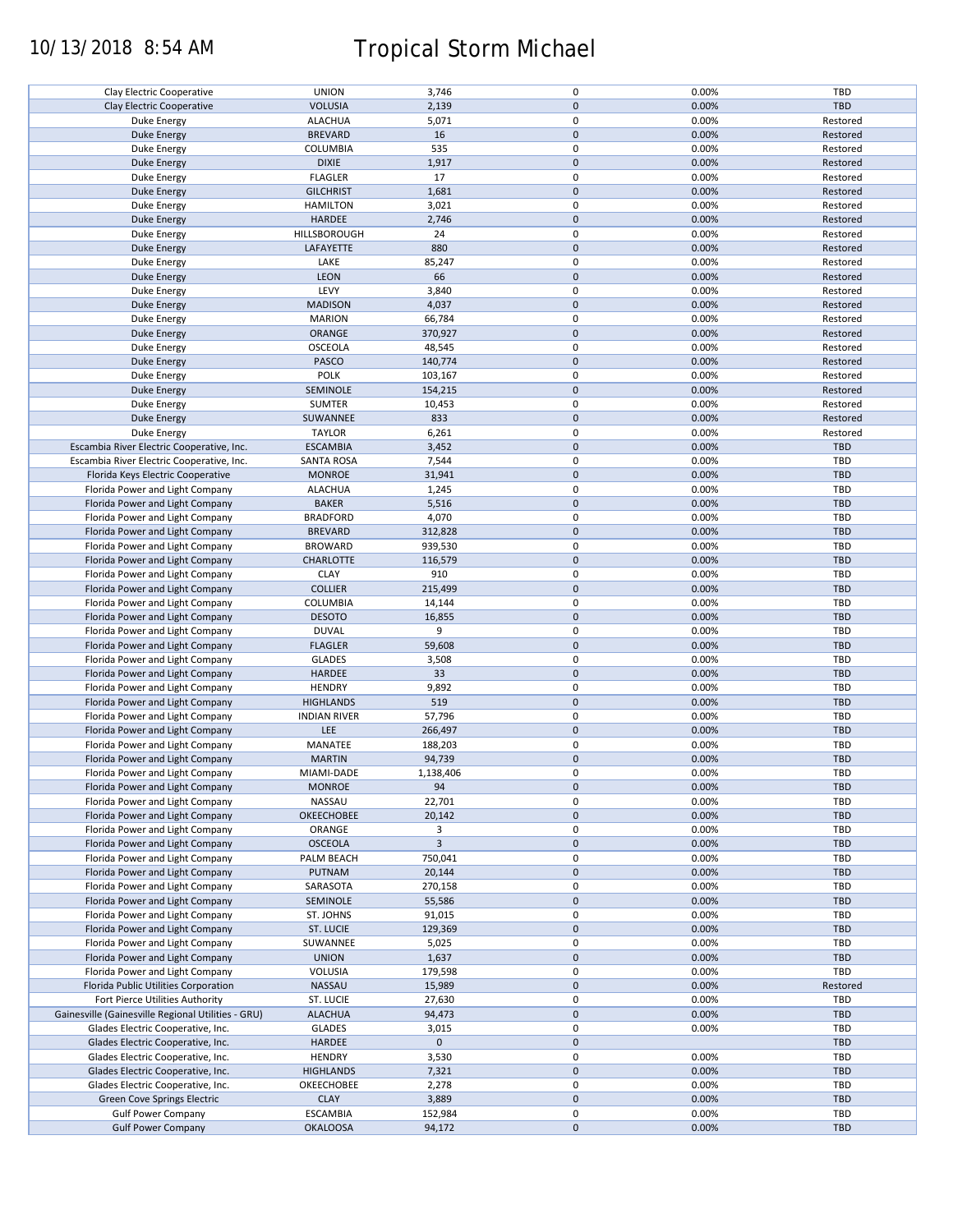# 10/13/2018 8:54 AM Tropical Storm Michael

| Clay Electric Cooperative                              | <b>UNION</b>                       | 3,746             | 0                   | 0.00%          | TBD        |
|--------------------------------------------------------|------------------------------------|-------------------|---------------------|----------------|------------|
| Clay Electric Cooperative                              | <b>VOLUSIA</b>                     | 2,139             | $\mathbf 0$         | 0.00%          | <b>TBD</b> |
| Duke Energy                                            | <b>ALACHUA</b>                     | 5,071             | 0                   | 0.00%          | Restored   |
|                                                        | <b>BREVARD</b>                     | 16                | $\mathbf 0$         | 0.00%          | Restored   |
| <b>Duke Energy</b>                                     |                                    |                   |                     |                |            |
| Duke Energy                                            | COLUMBIA                           | 535               | 0                   | 0.00%          | Restored   |
| <b>Duke Energy</b>                                     | <b>DIXIE</b>                       | 1,917             | $\mathbf 0$         | 0.00%          | Restored   |
| Duke Energy                                            | <b>FLAGLER</b>                     | 17                | 0                   | 0.00%          | Restored   |
|                                                        |                                    |                   |                     |                |            |
| Duke Energy                                            | <b>GILCHRIST</b>                   | 1,681             | $\mathbf 0$         | 0.00%          | Restored   |
| Duke Energy                                            | <b>HAMILTON</b>                    | 3,021             | 0                   | 0.00%          | Restored   |
|                                                        | HARDEE                             | 2,746             | $\mathbf 0$         | 0.00%          | Restored   |
| Duke Energy                                            |                                    |                   |                     |                |            |
| Duke Energy                                            | HILLSBOROUGH                       | 24                | 0                   | 0.00%          | Restored   |
| <b>Duke Energy</b>                                     | LAFAYETTE                          | 880               | $\mathbf 0$         | 0.00%          | Restored   |
| Duke Energy                                            | LAKE                               | 85,247            | 0                   | 0.00%          | Restored   |
|                                                        |                                    |                   |                     |                |            |
| Duke Energy                                            | LEON                               | 66                | $\mathbf 0$         | 0.00%          | Restored   |
| Duke Energy                                            | LEVY                               | 3,840             | 0                   | 0.00%          | Restored   |
| <b>Duke Energy</b>                                     | <b>MADISON</b>                     | 4,037             | $\mathbf 0$         | 0.00%          | Restored   |
|                                                        |                                    |                   |                     |                |            |
| Duke Energy                                            | <b>MARION</b>                      | 66,784            | 0                   | 0.00%          | Restored   |
| <b>Duke Energy</b>                                     | ORANGE                             | 370,927           | $\pmb{0}$           | 0.00%          | Restored   |
| Duke Energy                                            | OSCEOLA                            | 48,545            | 0                   | 0.00%          | Restored   |
|                                                        |                                    |                   |                     |                |            |
| <b>Duke Energy</b>                                     | PASCO                              | 140,774           | $\pmb{0}$           | 0.00%          | Restored   |
| Duke Energy                                            | <b>POLK</b>                        | 103,167           | 0                   | 0.00%          | Restored   |
| <b>Duke Energy</b>                                     | SEMINOLE                           | 154,215           | $\pmb{0}$           | 0.00%          | Restored   |
|                                                        |                                    |                   |                     |                |            |
| Duke Energy                                            | <b>SUMTER</b>                      | 10,453            | 0                   | 0.00%          | Restored   |
| <b>Duke Energy</b>                                     | SUWANNEE                           | 833               | $\pmb{0}$           | 0.00%          | Restored   |
| Duke Energy                                            | <b>TAYLOR</b>                      | 6,261             | 0                   | 0.00%          | Restored   |
|                                                        |                                    |                   |                     |                |            |
| Escambia River Electric Cooperative, Inc.              | <b>ESCAMBIA</b>                    | 3,452             | $\mathbf 0$         | 0.00%          | <b>TBD</b> |
| Escambia River Electric Cooperative, Inc.              | <b>SANTA ROSA</b>                  | 7,544             | 0                   | 0.00%          | TBD        |
| Florida Keys Electric Cooperative                      | <b>MONROE</b>                      | 31,941            | $\mathbf 0$         | 0.00%          | <b>TBD</b> |
|                                                        |                                    |                   |                     |                |            |
| Florida Power and Light Company                        | <b>ALACHUA</b>                     | 1,245             | 0                   | 0.00%          | <b>TBD</b> |
| Florida Power and Light Company                        | <b>BAKER</b>                       | 5,516             | $\pmb{0}$           | 0.00%          | <b>TBD</b> |
| Florida Power and Light Company                        | <b>BRADFORD</b>                    | 4,070             | 0                   | 0.00%          | TBD        |
|                                                        |                                    |                   |                     |                |            |
| Florida Power and Light Company                        | <b>BREVARD</b>                     | 312,828           | $\mathsf{O}\xspace$ | 0.00%          | <b>TBD</b> |
| Florida Power and Light Company                        | <b>BROWARD</b>                     | 939,530           | 0                   | 0.00%          | <b>TBD</b> |
|                                                        | <b>CHARLOTTE</b>                   |                   | $\pmb{0}$           | 0.00%          | <b>TBD</b> |
| Florida Power and Light Company                        |                                    | 116,579           |                     |                |            |
| Florida Power and Light Company                        | <b>CLAY</b>                        | 910               | 0                   | 0.00%          | <b>TBD</b> |
| Florida Power and Light Company                        | <b>COLLIER</b>                     | 215,499           | $\pmb{0}$           | 0.00%          | <b>TBD</b> |
| Florida Power and Light Company                        | COLUMBIA                           | 14,144            | 0                   | 0.00%          | <b>TBD</b> |
|                                                        |                                    |                   |                     |                |            |
| Florida Power and Light Company                        | <b>DESOTO</b>                      | 16,855            | $\mathbf 0$         | 0.00%          | <b>TBD</b> |
| Florida Power and Light Company                        | <b>DUVAL</b>                       | 9                 | 0                   | 0.00%          | TBD        |
| Florida Power and Light Company                        | <b>FLAGLER</b>                     | 59,608            | $\mathbf 0$         | 0.00%          | <b>TBD</b> |
|                                                        |                                    |                   |                     |                |            |
| Florida Power and Light Company                        | <b>GLADES</b>                      | 3,508             | 0                   | 0.00%          | TBD        |
| Florida Power and Light Company                        | HARDEE                             | 33                | $\mathbf 0$         | 0.00%          | <b>TBD</b> |
| Florida Power and Light Company                        | <b>HENDRY</b>                      | 9,892             | 0                   | 0.00%          | TBD        |
|                                                        |                                    |                   |                     |                |            |
| Florida Power and Light Company                        | <b>HIGHLANDS</b>                   | 519               | $\pmb{0}$           | 0.00%          | <b>TBD</b> |
| Florida Power and Light Company                        | <b>INDIAN RIVER</b>                | 57,796            | $\pmb{0}$           | 0.00%          | TBD        |
| Florida Power and Light Company                        | LEE                                | 266,497           | $\pmb{0}$           | 0.00%          | <b>TBD</b> |
|                                                        |                                    |                   |                     |                |            |
| Florida Power and Light Company                        | MANATEE                            | 188,203           | $\pmb{0}$           | 0.00%          | TBD        |
| Florida Power and Light Company                        | <b>MARTIN</b>                      | 94,739            | $\mathbf 0$         | 0.00%          | <b>TBD</b> |
| Florida Power and Light Company                        | MIAMI-DADE                         | 1,138,406         | 0                   | 0.00%          | TBD        |
|                                                        |                                    |                   |                     |                |            |
| Florida Power and Light Company                        | <b>MONROE</b>                      | 94                | $\pmb{0}$           | 0.00%          | TBD        |
| Florida Power and Light Company                        | NASSAU                             | 22,701            | 0                   | 0.00%          | TBD        |
| Florida Power and Light Company                        | OKEECHOBEE                         | 20,142            | $\mathbf 0$         | 0.00%          | <b>TBD</b> |
|                                                        |                                    |                   |                     |                |            |
| Florida Power and Light Company                        | ORANGE                             | 3                 | 0                   | 0.00%          | TBD        |
| Florida Power and Light Company                        | <b>OSCEOLA</b>                     | $\overline{3}$    | $\mathbf 0$         | 0.00%          | <b>TBD</b> |
| Florida Power and Light Company                        | PALM BEACH                         | 750,041           | 0                   | 0.00%          | TBD        |
|                                                        |                                    |                   |                     |                |            |
| Florida Power and Light Company                        | PUTNAM                             | 20,144            | $\mathsf{O}\xspace$ | 0.00%          | <b>TBD</b> |
| Florida Power and Light Company                        | SARASOTA                           | 270,158           | 0                   | 0.00%          | TBD        |
| Florida Power and Light Company                        | SEMINOLE                           | 55,586            | $\pmb{0}$           | 0.00%          | <b>TBD</b> |
|                                                        |                                    |                   |                     |                |            |
| Florida Power and Light Company                        | ST. JOHNS                          | 91,015            | 0                   | 0.00%          | TBD        |
| Florida Power and Light Company                        | ST. LUCIE                          | 129,369           | $\mathbf 0$         | 0.00%          | <b>TBD</b> |
| Florida Power and Light Company                        | SUWANNEE                           | 5,025             | 0                   | 0.00%          | TBD        |
|                                                        |                                    |                   |                     |                |            |
| Florida Power and Light Company                        | <b>UNION</b>                       | 1,637             | $\mathsf{O}\xspace$ | 0.00%          | TBD        |
| Florida Power and Light Company                        | VOLUSIA                            | 179,598           | 0                   | 0.00%          | TBD        |
| Florida Public Utilities Corporation                   | NASSAU                             | 15,989            | $\mathsf{O}\xspace$ | 0.00%          | Restored   |
|                                                        |                                    |                   |                     |                |            |
| Fort Pierce Utilities Authority                        | ST. LUCIE                          | 27,630            | 0                   | 0.00%          | TBD        |
| Gainesville (Gainesville Regional Utilities - GRU)     | <b>ALACHUA</b>                     | 94,473            | $\pmb{0}$           | 0.00%          | <b>TBD</b> |
| Glades Electric Cooperative, Inc.                      | <b>GLADES</b>                      | 3,015             | 0                   | 0.00%          | TBD        |
|                                                        |                                    |                   |                     |                |            |
|                                                        |                                    |                   | $\pmb{0}$           |                | <b>TBD</b> |
| Glades Electric Cooperative, Inc.                      | HARDEE                             | $\mathbf 0$       |                     |                |            |
|                                                        |                                    |                   |                     |                |            |
| Glades Electric Cooperative, Inc.                      | <b>HENDRY</b>                      | 3,530             | 0                   | 0.00%          | TBD        |
| Glades Electric Cooperative, Inc.                      | <b>HIGHLANDS</b>                   | 7,321             | $\mathbf 0$         | 0.00%          | <b>TBD</b> |
| Glades Electric Cooperative, Inc.                      | OKEECHOBEE                         | 2,278             | 0                   | 0.00%          | TBD        |
|                                                        |                                    |                   |                     |                |            |
| Green Cove Springs Electric                            | <b>CLAY</b>                        | 3,889             | $\mathbf 0$         | 0.00%          | <b>TBD</b> |
| <b>Gulf Power Company</b><br><b>Gulf Power Company</b> | <b>ESCAMBIA</b><br><b>OKALOOSA</b> | 152,984<br>94,172 | 0<br>$\mathbf 0$    | 0.00%<br>0.00% | TBD<br>TBD |